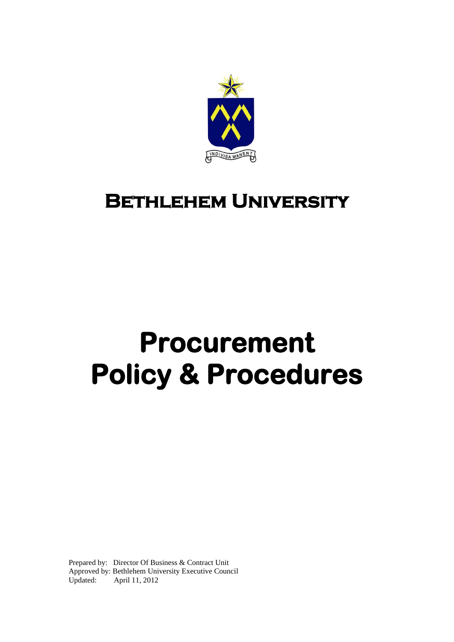

# **Bethlehem University**

# **Procurement Policy & Procedures**

Prepared by: Director Of Business & Contract Unit Approved by: Bethlehem University Executive Council Updated: April 11, 2012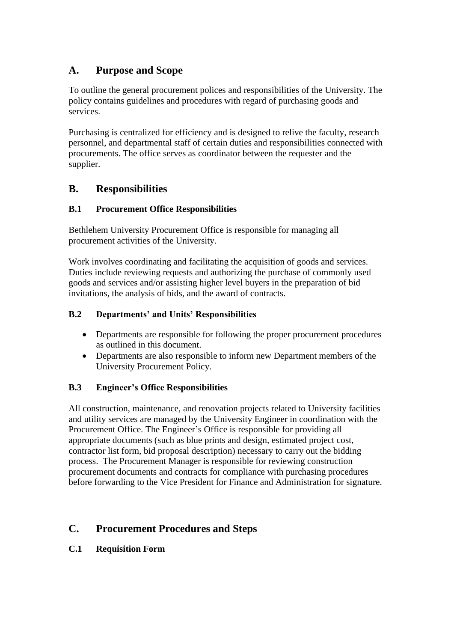# **A. Purpose and Scope**

To outline the general procurement polices and responsibilities of the University. The policy contains guidelines and procedures with regard of purchasing goods and services.

Purchasing is centralized for efficiency and is designed to relive the faculty, research personnel, and departmental staff of certain duties and responsibilities connected with procurements. The office serves as coordinator between the requester and the supplier.

# **B. Responsibilities**

# **B.1 Procurement Office Responsibilities**

Bethlehem University Procurement Office is responsible for managing all procurement activities of the University.

Work involves coordinating and facilitating the acquisition of goods and services. Duties include reviewing requests and authorizing the purchase of commonly used goods and services and/or assisting higher level buyers in the preparation of bid invitations, the analysis of bids, and the award of contracts.

# **B.2 Departments' and Units' Responsibilities**

- Departments are responsible for following the proper procurement procedures as outlined in this document.
- Departments are also responsible to inform new Department members of the University Procurement Policy.

# **B.3 Engineer's Office Responsibilities**

All construction, maintenance, and renovation projects related to University facilities and utility services are managed by the University Engineer in coordination with the Procurement Office. The Engineer's Office is responsible for providing all appropriate documents (such as blue prints and design, estimated project cost, contractor list form, bid proposal description) necessary to carry out the bidding process. The Procurement Manager is responsible for reviewing construction procurement documents and contracts for compliance with purchasing procedures before forwarding to the Vice President for Finance and Administration for signature.

# **C. Procurement Procedures and Steps**

# **C.1 Requisition Form**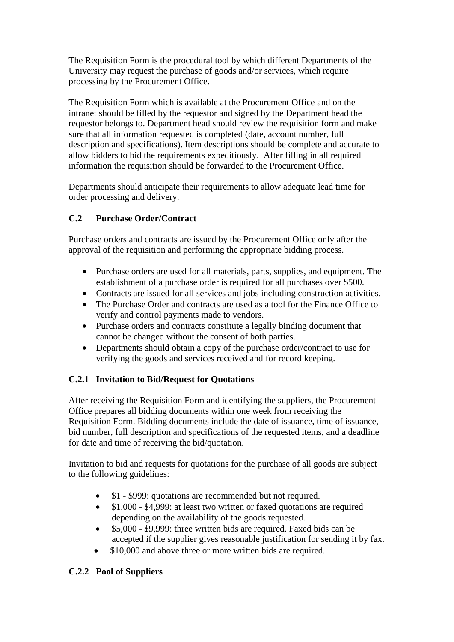The Requisition Form is the procedural tool by which different Departments of the University may request the purchase of goods and/or services, which require processing by the Procurement Office.

The Requisition Form which is available at the Procurement Office and on the intranet should be filled by the requestor and signed by the Department head the requestor belongs to. Department head should review the requisition form and make sure that all information requested is completed (date, account number, full description and specifications). Item descriptions should be complete and accurate to allow bidders to bid the requirements expeditiously. After filling in all required information the requisition should be forwarded to the Procurement Office.

Departments should anticipate their requirements to allow adequate lead time for order processing and delivery.

# **C.2 Purchase Order/Contract**

Purchase orders and contracts are issued by the Procurement Office only after the approval of the requisition and performing the appropriate bidding process.

- Purchase orders are used for all materials, parts, supplies, and equipment. The establishment of a purchase order is required for all purchases over \$500.
- Contracts are issued for all services and jobs including construction activities.
- The Purchase Order and contracts are used as a tool for the Finance Office to verify and control payments made to vendors.
- Purchase orders and contracts constitute a legally binding document that cannot be changed without the consent of both parties.
- Departments should obtain a copy of the purchase order/contract to use for verifying the goods and services received and for record keeping.

# **C.2.1 Invitation to Bid/Request for Quotations**

After receiving the Requisition Form and identifying the suppliers, the Procurement Office prepares all bidding documents within one week from receiving the Requisition Form. Bidding documents include the date of issuance, time of issuance, bid number, full description and specifications of the requested items, and a deadline for date and time of receiving the bid/quotation.

Invitation to bid and requests for quotations for the purchase of all goods are subject to the following guidelines:

- \$1 \$999: quotations are recommended but not required.
- \$1,000 \$4,999: at least two written or faxed quotations are required depending on the availability of the goods requested.
- \$5,000 \$9,999: three written bids are required. Faxed bids can be accepted if the supplier gives reasonable justification for sending it by fax.
- \$10,000 and above three or more written bids are required.

# **C.2.2 Pool of Suppliers**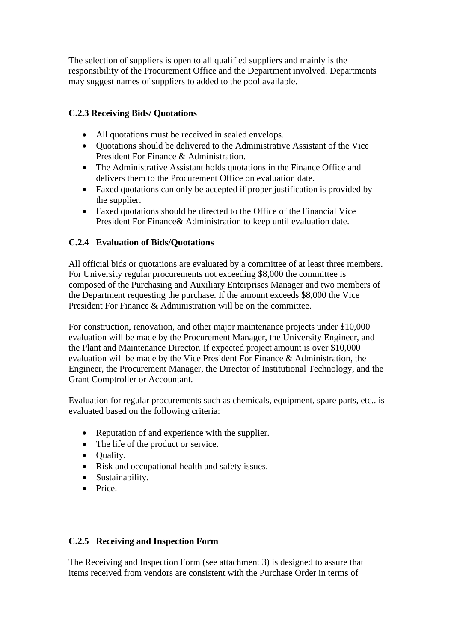The selection of suppliers is open to all qualified suppliers and mainly is the responsibility of the Procurement Office and the Department involved. Departments may suggest names of suppliers to added to the pool available.

#### **C.2.3 Receiving Bids/ Quotations**

- All quotations must be received in sealed envelops.
- Quotations should be delivered to the Administrative Assistant of the Vice President For Finance & Administration.
- The Administrative Assistant holds quotations in the Finance Office and delivers them to the Procurement Office on evaluation date.
- Faxed quotations can only be accepted if proper justification is provided by the supplier.
- Faxed quotations should be directed to the Office of the Financial Vice President For Finance& Administration to keep until evaluation date.

#### **C.2.4 Evaluation of Bids/Quotations**

All official bids or quotations are evaluated by a committee of at least three members. For University regular procurements not exceeding \$8,000 the committee is composed of the Purchasing and Auxiliary Enterprises Manager and two members of the Department requesting the purchase. If the amount exceeds \$8,000 the Vice President For Finance & Administration will be on the committee.

For construction, renovation, and other major maintenance projects under \$10,000 evaluation will be made by the Procurement Manager, the University Engineer, and the Plant and Maintenance Director. If expected project amount is over \$10,000 evaluation will be made by the Vice President For Finance & Administration, the Engineer, the Procurement Manager, the Director of Institutional Technology, and the Grant Comptroller or Accountant.

Evaluation for regular procurements such as chemicals, equipment, spare parts, etc.. is evaluated based on the following criteria:

- Reputation of and experience with the supplier.
- The life of the product or service.
- Quality.
- Risk and occupational health and safety issues.
- Sustainability.
- Price.

#### **C.2.5 Receiving and Inspection Form**

The Receiving and Inspection Form (see attachment 3) is designed to assure that items received from vendors are consistent with the Purchase Order in terms of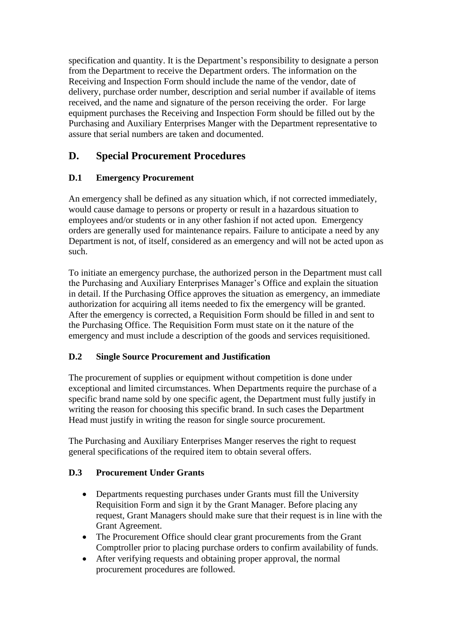specification and quantity. It is the Department's responsibility to designate a person from the Department to receive the Department orders. The information on the Receiving and Inspection Form should include the name of the vendor, date of delivery, purchase order number, description and serial number if available of items received, and the name and signature of the person receiving the order. For large equipment purchases the Receiving and Inspection Form should be filled out by the Purchasing and Auxiliary Enterprises Manger with the Department representative to assure that serial numbers are taken and documented.

# **D. Special Procurement Procedures**

# **D.1 Emergency Procurement**

An emergency shall be defined as any situation which, if not corrected immediately, would cause damage to persons or property or result in a hazardous situation to employees and/or students or in any other fashion if not acted upon. Emergency orders are generally used for maintenance repairs. Failure to anticipate a need by any Department is not, of itself, considered as an emergency and will not be acted upon as such.

To initiate an emergency purchase, the authorized person in the Department must call the Purchasing and Auxiliary Enterprises Manager's Office and explain the situation in detail. If the Purchasing Office approves the situation as emergency, an immediate authorization for acquiring all items needed to fix the emergency will be granted. After the emergency is corrected, a Requisition Form should be filled in and sent to the Purchasing Office. The Requisition Form must state on it the nature of the emergency and must include a description of the goods and services requisitioned.

# **D.2 Single Source Procurement and Justification**

The procurement of supplies or equipment without competition is done under exceptional and limited circumstances. When Departments require the purchase of a specific brand name sold by one specific agent, the Department must fully justify in writing the reason for choosing this specific brand. In such cases the Department Head must justify in writing the reason for single source procurement.

The Purchasing and Auxiliary Enterprises Manger reserves the right to request general specifications of the required item to obtain several offers.

# **D.3 Procurement Under Grants**

- Departments requesting purchases under Grants must fill the University Requisition Form and sign it by the Grant Manager. Before placing any request, Grant Managers should make sure that their request is in line with the Grant Agreement.
- The Procurement Office should clear grant procurements from the Grant Comptroller prior to placing purchase orders to confirm availability of funds.
- After verifying requests and obtaining proper approval, the normal procurement procedures are followed.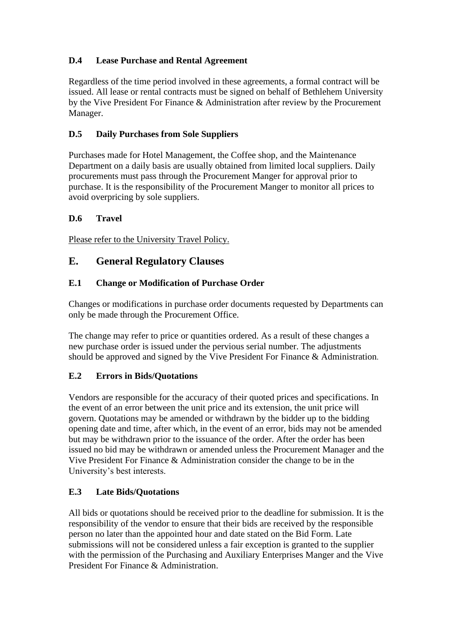# **D.4 Lease Purchase and Rental Agreement**

Regardless of the time period involved in these agreements, a formal contract will be issued. All lease or rental contracts must be signed on behalf of Bethlehem University by the Vive President For Finance & Administration after review by the Procurement Manager.

# **D.5 Daily Purchases from Sole Suppliers**

Purchases made for Hotel Management, the Coffee shop, and the Maintenance Department on a daily basis are usually obtained from limited local suppliers. Daily procurements must pass through the Procurement Manger for approval prior to purchase. It is the responsibility of the Procurement Manger to monitor all prices to avoid overpricing by sole suppliers.

# **D.6 Travel**

Please refer to the University Travel Policy.

# **E. General Regulatory Clauses**

#### **E.1 Change or Modification of Purchase Order**

Changes or modifications in purchase order documents requested by Departments can only be made through the Procurement Office.

The change may refer to price or quantities ordered. As a result of these changes a new purchase order is issued under the pervious serial number. The adjustments should be approved and signed by the Vive President For Finance & Administration.

#### **E.2 Errors in Bids/Quotations**

Vendors are responsible for the accuracy of their quoted prices and specifications. In the event of an error between the unit price and its extension, the unit price will govern. Quotations may be amended or withdrawn by the bidder up to the bidding opening date and time, after which, in the event of an error, bids may not be amended but may be withdrawn prior to the issuance of the order. After the order has been issued no bid may be withdrawn or amended unless the Procurement Manager and the Vive President For Finance & Administration consider the change to be in the University's best interests.

# **E.3 Late Bids/Quotations**

All bids or quotations should be received prior to the deadline for submission. It is the responsibility of the vendor to ensure that their bids are received by the responsible person no later than the appointed hour and date stated on the Bid Form. Late submissions will not be considered unless a fair exception is granted to the supplier with the permission of the Purchasing and Auxiliary Enterprises Manger and the Vive President For Finance & Administration.